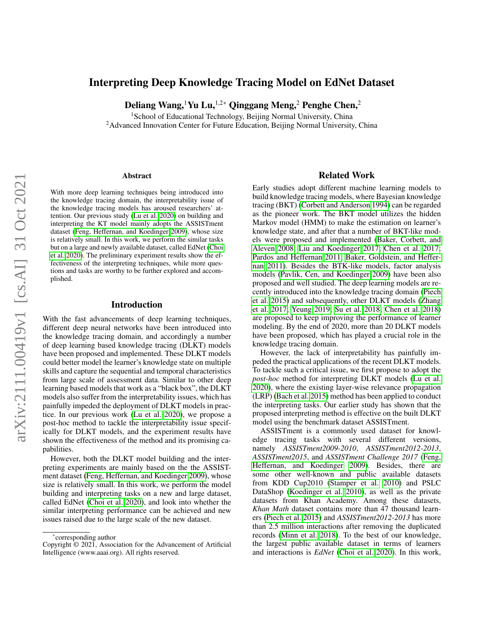# Interpreting Deep Knowledge Tracing Model on EdNet Dataset

Deliang Wang,<sup>1</sup>Yu Lu,<sup>1,2\*</sup> Qinggang Meng,<sup>2</sup> Penghe Chen,<sup>2</sup>

<sup>1</sup>School of Educational Technology, Beijing Normal University, China <sup>2</sup> Advanced Innovation Center for Future Education, Beijing Normal University, China

#### Abstract

With more deep learning techniques being introduced into the knowledge tracing domain, the interpretability issue of the knowledge tracing models has aroused researchers' attention. Our previous study [\(Lu et al. 2020\)](#page-4-0) on building and interpreting the KT model mainly adopts the ASSISTment dataset [\(Feng, Heffernan, and Koedinger 2009\)](#page-3-0), whose size is relatively small. In this work, we perform the similar tasks but on a large and newly available dataset, called EdNet [\(Choi](#page-3-1) [et al. 2020\)](#page-3-1). The preliminary experiment results show the effectiveness of the interpreting techniques, while more questions and tasks are worthy to be further explored and accomplished.

### Introduction

With the fast advancements of deep learning techniques, different deep neural networks have been introduced into the knowledge tracing domain, and accordingly a number of deep learning based knowledge tracing (DLKT) models have been proposed and implemented. These DLKT models could better model the learner's knowledge state on multiple skills and capture the sequential and temporal characteristics from large scale of assessment data. Similar to other deep learning based models that work as a "black box", the DLKT models also suffer from the interpretability issues, which has painfully impeded the deployment of DLKT models in practice. In our previous work [\(Lu et al. 2020\)](#page-4-0), we propose a post-hoc method to tackle the interpretability issue specifically for DLKT models, and the experiment results have shown the effectiveness of the method and its promising capabilities.

However, both the DLKT model building and the interpreting experiments are mainly based on the the ASSISTment dataset [\(Feng, Heffernan, and Koedinger 2009\)](#page-3-0), whose size is relatively small. In this work, we perform the model building and interpreting tasks on a new and large dataset, called EdNet [\(Choi et al. 2020\)](#page-3-1), and look into whether the similar interpreting performance can be achieved and new issues raised due to the large scale of the new dataset.

#### Related Work

Early studies adopt different machine learning models to build knowledge tracing models, where Bayesian knowledge tracing (BKT) [\(Corbett and Anderson 1994\)](#page-3-2) can be regarded as the pioneer work. The BKT model utilizes the hidden Markov model (HMM) to make the estimation on learner's knowledge state, and after that a number of BKT-like models were proposed and implemented [\(Baker, Corbett, and](#page-3-3) [Aleven 2008;](#page-3-3) [Liu and Koedinger 2017;](#page-4-1) [Chen et al. 2017;](#page-3-4) [Pardos and Heffernan 2011;](#page-4-2) [Baker, Goldstein, and Heffer](#page-3-5)[nan 2011\)](#page-3-5). Besides the BTK-like models, factor analysis models [\(Pavlik, Cen, and Koedinger 2009\)](#page-4-3) have been also proposed and well studied. The deep learning models are recently introduced into the knowledge tracing domain [\(Piech](#page-4-4) [et al. 2015\)](#page-4-4) and subsequently, other DLKT models [\(Zhang](#page-4-5) [et al. 2017;](#page-4-5) [Yeung 2019;](#page-4-6) [Su et al. 2018;](#page-4-7) [Chen et al. 2018\)](#page-3-6) are proposed to keep improving the performance of learner modeling. By the end of 2020, more than 20 DLKT models have been proposed, which has played a crucial role in the knowledge tracing domain.

However, the lack of interpretability has painfully impeded the practical applications of the recent DLKT models. To tackle such a critical issue, we first propose to adopt the *post-hoc* method for interpreting DLKT models [\(Lu et al.](#page-4-0) [2020\)](#page-4-0), where the existing layer-wise relevance propagation (LRP) [\(Bach et al. 2015\)](#page-3-7) method has been applied to conduct the interpreting tasks. Our earlier study has shown that the proposed interpreting method is effective on the built DLKT model using the benchmark dataset ASSISTment.

ASSISTment is a commonly used dataset for knowledge tracing tasks with several different versions, namely *ASSISTment2009-2010*, *ASSISTment2012-2013*, *ASSISTment2015*, and *ASSISTment Challenge 2017* [\(Feng,](#page-3-0) [Heffernan, and Koedinger 2009\)](#page-3-0). Besides, there are some other well-known and public available datasets from KDD Cup2010 [\(Stamper et al. 2010\)](#page-4-8) and PSLC DataShop [\(Koedinger et al. 2010\)](#page-4-9), as well as the private datasets from Khan Academy. Among these datasets, *Khan Math* dataset contains more than 47 thousand learners [\(Piech et al. 2015\)](#page-4-4) and *ASSISTment2012-2013* has more than 2.5 million interactions after removing the duplicated records [\(Minn et al. 2018\)](#page-4-10). To the best of our knowledge, the largest public available dataset in terms of learners and interactions is *EdNet* [\(Choi et al. 2020\)](#page-3-1). In this work,

<sup>\*</sup>corresponding author

Copyright © 2021, Association for the Advancement of Artificial Intelligence (www.aaai.org). All rights reserved.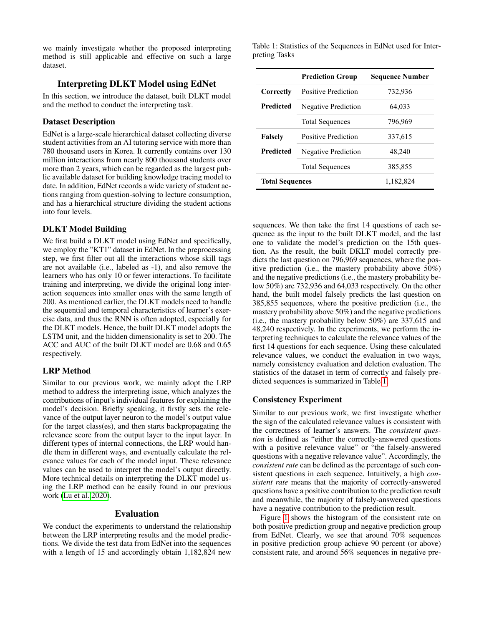we mainly investigate whether the proposed interpreting method is still applicable and effective on such a large dataset.

### Interpreting DLKT Model using EdNet

In this section, we introduce the dataset, built DLKT model and the method to conduct the interpreting task.

## Dataset Description

EdNet is a large-scale hierarchical dataset collecting diverse student activities from an AI tutoring service with more than 780 thousand users in Korea. It currently contains over 130 million interactions from nearly 800 thousand students over more than 2 years, which can be regarded as the largest public available dataset for building knowledge tracing model to date. In addition, EdNet records a wide variety of student actions ranging from question-solving to lecture consumption, and has a hierarchical structure dividing the student actions into four levels.

#### DLKT Model Building

We first build a DLKT model using EdNet and specifically, we employ the "KT1" dataset in EdNet. In the preprocessing step, we first filter out all the interactions whose skill tags are not available (i.e., labeled as -1), and also remove the learners who has only 10 or fewer interactions. To facilitate training and interpreting, we divide the original long interaction sequences into smaller ones with the same length of 200. As mentioned earlier, the DLKT models need to handle the sequential and temporal characteristics of learner's exercise data, and thus the RNN is often adopted, especially for the DLKT models. Hence, the built DLKT model adopts the LSTM unit, and the hidden dimensionality is set to 200. The ACC and AUC of the built DLKT model are 0.68 and 0.65 respectively.

#### LRP Method

Similar to our previous work, we mainly adopt the LRP method to address the interpreting issue, which analyzes the contributions of input's individual features for explaining the model's decision. Briefly speaking, it firstly sets the relevance of the output layer neuron to the model's output value for the target class(es), and then starts backpropagating the relevance score from the output layer to the input layer. In different types of internal connections, the LRP would handle them in different ways, and eventually calculate the relevance values for each of the model input. These relevance values can be used to interpret the model's output directly. More technical details on interpreting the DLKT model using the LRP method can be easily found in our previous work [\(Lu et al. 2020\)](#page-4-0).

#### Evaluation

We conduct the experiments to understand the relationship between the LRP interpreting results and the model predictions. We divide the test data from EdNet into the sequences with a length of 15 and accordingly obtain 1,182,824 new

<span id="page-1-0"></span>Table 1: Statistics of the Sequences in EdNet used for Interpreting Tasks

|                        | <b>Prediction Group</b> | <b>Sequence Number</b> |
|------------------------|-------------------------|------------------------|
| Correctly              | Positive Prediction     | 732,936                |
| <b>Predicted</b>       | Negative Prediction     | 64,033                 |
|                        | <b>Total Sequences</b>  | 796,969                |
| <b>Falsely</b>         | Positive Prediction     | 337,615                |
| <b>Predicted</b>       | Negative Prediction     | 48,240                 |
|                        | <b>Total Sequences</b>  | 385,855                |
| <b>Total Sequences</b> |                         | 1,182,824              |

sequences. We then take the first 14 questions of each sequence as the input to the built DLKT model, and the last one to validate the model's prediction on the 15th question. As the result, the built DKLT model correctly predicts the last question on 796,969 sequences, where the positive prediction (i.e., the mastery probability above 50%) and the negative predictions (i.e., the mastery probability below 50%) are 732,936 and 64,033 respectively. On the other hand, the built model falsely predicts the last question on 385,855 sequences, where the positive prediction (i.e., the mastery probability above 50%) and the negative predictions (i.e., the mastery probability below 50%) are 337,615 and 48,240 respectively. In the experiments, we perform the interpreting techniques to calculate the relevance values of the first 14 questions for each sequence. Using these calculated relevance values, we conduct the evaluation in two ways, namely consistency evaluation and deletion evaluation. The statistics of the dataset in term of correctly and falsely predicted sequences is summarized in Table [1.](#page-1-0)

### Consistency Experiment

Similar to our previous work, we first investigate whether the sign of the calculated relevance values is consistent with the correctness of learner's answers. The *consistent question* is defined as "either the correctly-answered questions with a positive relevance value" or "the falsely-answered questions with a negative relevance value". Accordingly, the *consistent rate* can be defined as the percentage of such consistent questions in each sequence. Intuitively, a high *consistent rate* means that the majority of correctly-answered questions have a positive contribution to the prediction result and meanwhile, the majority of falsely-answered questions have a negative contribution to the prediction result.

Figure [1](#page-2-0) shows the histogram of the consistent rate on both positive prediction group and negative prediction group from EdNet. Clearly, we see that around 70% sequences in positive prediction group achieve 90 percent (or above) consistent rate, and around 56% sequences in negative pre-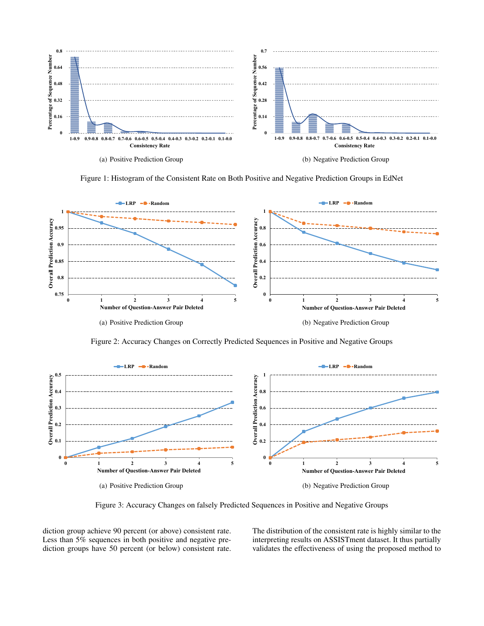<span id="page-2-0"></span>

Figure 1: Histogram of the Consistent Rate on Both Positive and Negative Prediction Groups in EdNet

<span id="page-2-1"></span>

Figure 2: Accuracy Changes on Correctly Predicted Sequences in Positive and Negative Groups

<span id="page-2-2"></span>

Figure 3: Accuracy Changes on falsely Predicted Sequences in Positive and Negative Groups

diction group achieve 90 percent (or above) consistent rate. Less than 5% sequences in both positive and negative prediction groups have 50 percent (or below) consistent rate.

The distribution of the consistent rate is highly similar to the interpreting results on ASSISTment dataset. It thus partially validates the effectiveness of using the proposed method to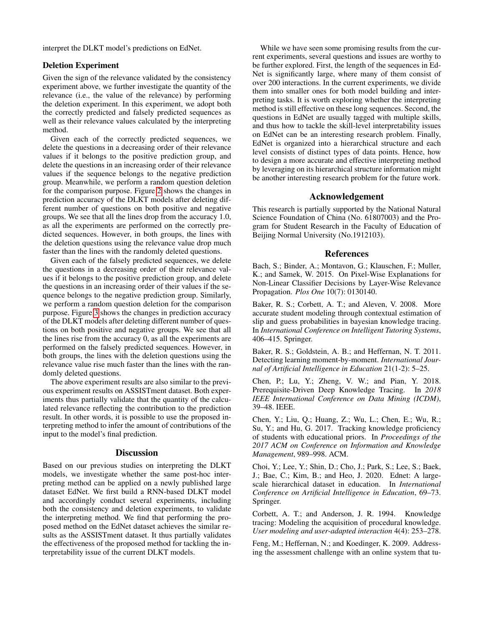interpret the DLKT model's predictions on EdNet.

### Deletion Experiment

Given the sign of the relevance validated by the consistency experiment above, we further investigate the quantity of the relevance (i.e., the value of the relevance) by performing the deletion experiment. In this experiment, we adopt both the correctly predicted and falsely predicted sequences as well as their relevance values calculated by the interpreting method.

Given each of the correctly predicted sequences, we delete the questions in a decreasing order of their relevance values if it belongs to the positive prediction group, and delete the questions in an increasing order of their relevance values if the sequence belongs to the negative prediction group. Meanwhile, we perform a random question deletion for the comparison purpose. Figure [2](#page-2-1) shows the changes in prediction accuracy of the DLKT models after deleting different number of questions on both positive and negative groups. We see that all the lines drop from the accuracy 1.0, as all the experiments are performed on the correctly predicted sequences. However, in both groups, the lines with the deletion questions using the relevance value drop much faster than the lines with the randomly deleted questions.

Given each of the falsely predicted sequences, we delete the questions in a decreasing order of their relevance values if it belongs to the positive prediction group, and delete the questions in an increasing order of their values if the sequence belongs to the negative prediction group. Similarly, we perform a random question deletion for the comparison purpose. Figure [3](#page-2-2) shows the changes in prediction accuracy of the DLKT models after deleting different number of questions on both positive and negative groups. We see that all the lines rise from the accuracy 0, as all the experiments are performed on the falsely predicted sequences. However, in both groups, the lines with the deletion questions using the relevance value rise much faster than the lines with the randomly deleted questions.

The above experiment results are also similar to the previous experiment results on ASSISTment dataset. Both experiments thus partially validate that the quantity of the calculated relevance reflecting the contribution to the prediction result. In other words, it is possible to use the proposed interpreting method to infer the amount of contributions of the input to the model's final prediction.

### **Discussion**

Based on our previous studies on interpreting the DLKT models, we investigate whether the same post-hoc interpreting method can be applied on a newly published large dataset EdNet. We first build a RNN-based DLKT model and accordingly conduct several experiments, including both the consistency and deletion experiments, to validate the interpreting method. We find that performing the proposed method on the EdNet dataset achieves the similar results as the ASSISTment dataset. It thus partially validates the effectiveness of the proposed method for tackling the interpretability issue of the current DLKT models.

While we have seen some promising results from the current experiments, several questions and issues are worthy to be further explored. First, the length of the sequences in Ed-Net is significantly large, where many of them consist of over 200 interactions. In the current experiments, we divide them into smaller ones for both model building and interpreting tasks. It is worth exploring whether the interpreting method is still effective on these long sequences. Second, the questions in EdNet are usually tagged with multiple skills, and thus how to tackle the skill-level interpretability issues on EdNet can be an interesting research problem. Finally, EdNet is organized into a hierarchical structure and each level consists of distinct types of data points. Hence, how to design a more accurate and effective interpreting method by leveraging on its hierarchical structure information might be another interesting research problem for the future work.

### Acknowledgement

This research is partially supported by the National Natural Science Foundation of China (No. 61807003) and the Program for Student Research in the Faculty of Education of Beijing Normal University (No.1912103).

#### References

<span id="page-3-7"></span>Bach, S.; Binder, A.; Montavon, G.; Klauschen, F.; Muller, K.; and Samek, W. 2015. On Pixel-Wise Explanations for Non-Linear Classifier Decisions by Layer-Wise Relevance Propagation. *Plos One* 10(7): 0130140.

<span id="page-3-3"></span>Baker, R. S.; Corbett, A. T.; and Aleven, V. 2008. More accurate student modeling through contextual estimation of slip and guess probabilities in bayesian knowledge tracing. In *International Conference on Intelligent Tutoring Systems*, 406–415. Springer.

<span id="page-3-5"></span>Baker, R. S.; Goldstein, A. B.; and Heffernan, N. T. 2011. Detecting learning moment-by-moment. *International Journal of Artificial Intelligence in Education* 21(1-2): 5–25.

<span id="page-3-6"></span>Chen, P.; Lu, Y.; Zheng, V. W.; and Pian, Y. 2018. Prerequisite-Driven Deep Knowledge Tracing. In *2018 IEEE International Conference on Data Mining (ICDM)*, 39–48. IEEE.

<span id="page-3-4"></span>Chen, Y.; Liu, Q.; Huang, Z.; Wu, L.; Chen, E.; Wu, R.; Su, Y.; and Hu, G. 2017. Tracking knowledge proficiency of students with educational priors. In *Proceedings of the 2017 ACM on Conference on Information and Knowledge Management*, 989–998. ACM.

<span id="page-3-1"></span>Choi, Y.; Lee, Y.; Shin, D.; Cho, J.; Park, S.; Lee, S.; Baek, J.; Bae, C.; Kim, B.; and Heo, J. 2020. Ednet: A largescale hierarchical dataset in education. In *International Conference on Artificial Intelligence in Education*, 69–73. Springer.

<span id="page-3-2"></span>Corbett, A. T.; and Anderson, J. R. 1994. Knowledge tracing: Modeling the acquisition of procedural knowledge. *User modeling and user-adapted interaction* 4(4): 253–278.

<span id="page-3-0"></span>Feng, M.; Heffernan, N.; and Koedinger, K. 2009. Addressing the assessment challenge with an online system that tu